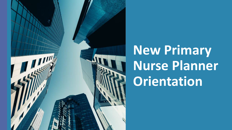

# **New Primary Nurse Planner Orientation**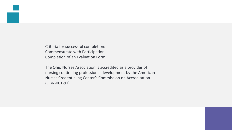Criteria for successful completion: Commensurate with Participation Completion of an Evaluation Form

The Ohio Nurses Association is accredited as a provider of nursing continuing professional development by the American Nurses Credentialing Center's Commission on Accreditation. (OBN-001-91)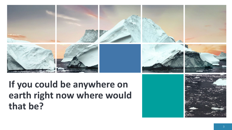

## **If you could be anywhere on earth right now where would that be?**

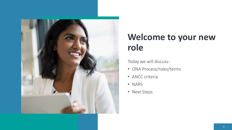

## **Welcome to your new role**

Today we will discuss:

- ONA Process/roles/terms
- ANCC criteria
- NARS
- Next Steps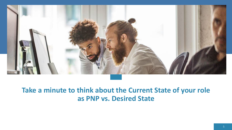

### **Take a minute to think about the Current State of your role as PNP vs. Desired State**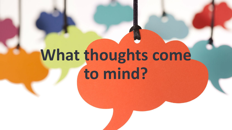# **What thoughts come to mind?**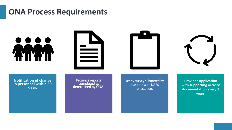### **ONA Process Requirements**

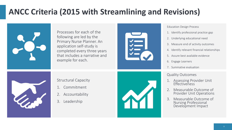### **ANCC Criteria (2015 with Streamlining and Revisions)**

Processes for each of the following are led by the Primary Nurse Planner. An application self-study is completed every three years that includes a narrative and example for each.



#### Education Design Process

- 1. Identify professional practice gap
- 2. Underlying educational need
- 3. Measure end of activity outcomes
- 4. Identify relevant financial relationships
- 5. Assure best available evidence
- 6. Engage Learners
- 7. Summative evaluation

#### Quality Outcomes

- 1. Assessing Provider Unit **Effectiveness**
- Measurable Outcome of Provider Unit Operations
- Measurable Outcome of Nursing Professional Development Impact



#### Structural Capacity

- 1. Commitment
- 2. Accountability
- 3. Leadership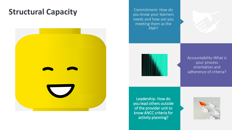### **Structural Capacity**



Commitment- How do you know your learners needs and how are you meeting them as the PNP?





Accountability-What is your process orientation and adherence of criteria?

Leadership- How do you lead others outside of the provider unit to know ANCC criteria for activity planning?

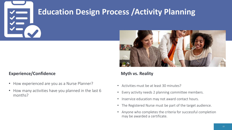

### **Education Design Process /Activity Planning**

#### **Experience/Confidence**

- How experienced are you as a Nurse Planner?
- How many activities have you planned in the last 6 months?

### **Myth vs. Reality**

- Activities must be at least 30 minutes?
- Every activity needs 2 planning committee members.
- Inservice education may not award contact hours.
- The Registered Nurse must be part of the target audience.
- Anyone who completes the criteria for successful completion may be awarded a certificate.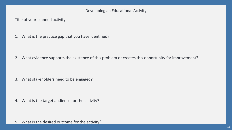Title of your planned activity:

1. What is the practice gap that you have identified?

2. What evidence supports the existence of this problem or creates this opportunity for improvement?

3. What stakeholders need to be engaged?

4. What is the target audience for the activity?

5. What is the desired outcome for the activity?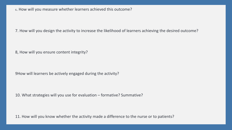7. How will you design the activity to increase the likelihood of learners achieving the desired outcome?

8, How will you ensure content integrity?

9How will learners be actively engaged during the activity?

10. What strategies will you use for evaluation – formative? Summative?

11. How will you know whether the activity made a difference to the nurse or to patients?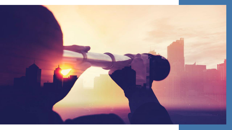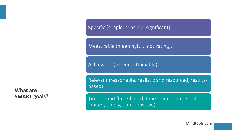**What are SMART goals?** Specific (simple, sensible, significant).

Measurable (meaningful, motivating).

Achievable (agreed, attainable).

Relevant (reasonable, realistic and resourced, resultsbased).

Time bound (time-based, time limited, time/cost limited, timely, time-sensitive).

(Mindtools.com)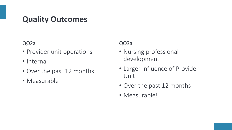### **Quality Outcomes**

### QO2a

- Provider unit operations
- Internal
- Over the past 12 months
- Measurable!

### QO3a

- Nursing professional development
- Larger Influence of Provider Unit
- Over the past 12 months
- Measurable!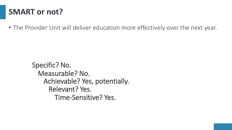### **SMART or not?**

• The Provider Unit will deliver education more effectively over the next year.

Specific? No. Measurable? No. Achievable? Yes, potentially. Relevant? Yes. Time-Sensitive? Yes.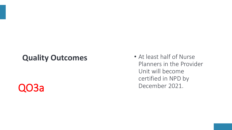### **Quality Outcomes**

• At least half of Nurse Planners in the Provider Unit will become certified in NPD by QO3a December 2021.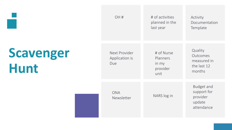| <b>Scavenger</b> |  |
|------------------|--|
| <b>Hunt</b>      |  |

| OH#                                    | # of activities<br>planned in the<br>last year      | Activity<br>Documentation<br>Template                                |
|----------------------------------------|-----------------------------------------------------|----------------------------------------------------------------------|
| Next Provider<br>Application is<br>Due | # of Nurse<br>Planners<br>in my<br>provider<br>unit | Quality<br>Outcomes<br>measured in<br>the last 12<br>months          |
| <b>ONA</b><br>Newsletter               | NARS log in                                         | <b>Budget and</b><br>support for<br>provider<br>update<br>attendance |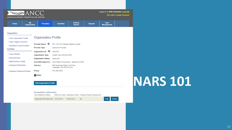| My<br>Home<br><b>Organization</b><br>Organization<br>> View Organization Profile<br>> View Program Summary<br>> Download Closed Activities | <b>Providers</b><br><b>Organization Profile</b>                                                   | <b>Activities</b>                                       | <b>Activity</b><br><b>Search</b> | <b>Reports</b> | <b>User</b><br><b>Management</b> |  |
|--------------------------------------------------------------------------------------------------------------------------------------------|---------------------------------------------------------------------------------------------------|---------------------------------------------------------|----------------------------------|----------------|----------------------------------|--|
|                                                                                                                                            |                                                                                                   |                                                         |                                  |                |                                  |  |
|                                                                                                                                            |                                                                                                   |                                                         |                                  |                |                                  |  |
| <b>Activities</b>                                                                                                                          | Provider Name:<br>057-The OSU Wexner Medical Center<br>Provider Type:<br><b>Approved Provider</b> |                                                         |                                  |                |                                  |  |
| > View Activities<br>> Add an Activity                                                                                                     | Organization ID:<br><b>Organization Type:</b>                                                     | 4002330<br>Health Care Facility (HCF)                   |                                  |                |                                  |  |
| > Batch Activity Upload                                                                                                                    | <b>Organization Status:</b><br>Accreditor/Approver:                                               | Approved<br>Ohio Nurses Association - Approver A0148    |                                  |                |                                  |  |
| > Download All Activities                                                                                                                  | Address:                                                                                          | 600 Ackerman Road, 2nd Floor<br>Columbus, OH 43218-3108 |                                  |                |                                  |  |
| > Download Selected Activities                                                                                                             | Phone:                                                                                            | 614-293-4943                                            |                                  |                |                                  |  |

#### **Edit Organization Profile**

**Accreditation Information** Accreditation Status Effective Date Expiration Date Progress Report Required? Edit Delete No.

Approved with Distinction 01/22/2018 04/01/2022

# **NARS 101**

I Log Out Password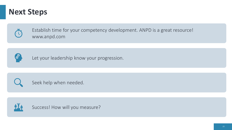### **Next Steps**



Establish time for your competency development. ANPD is a great resource! www.anpd.com



Let your leadership know your progression.



Seek help when needed.



Success! How will you measure?